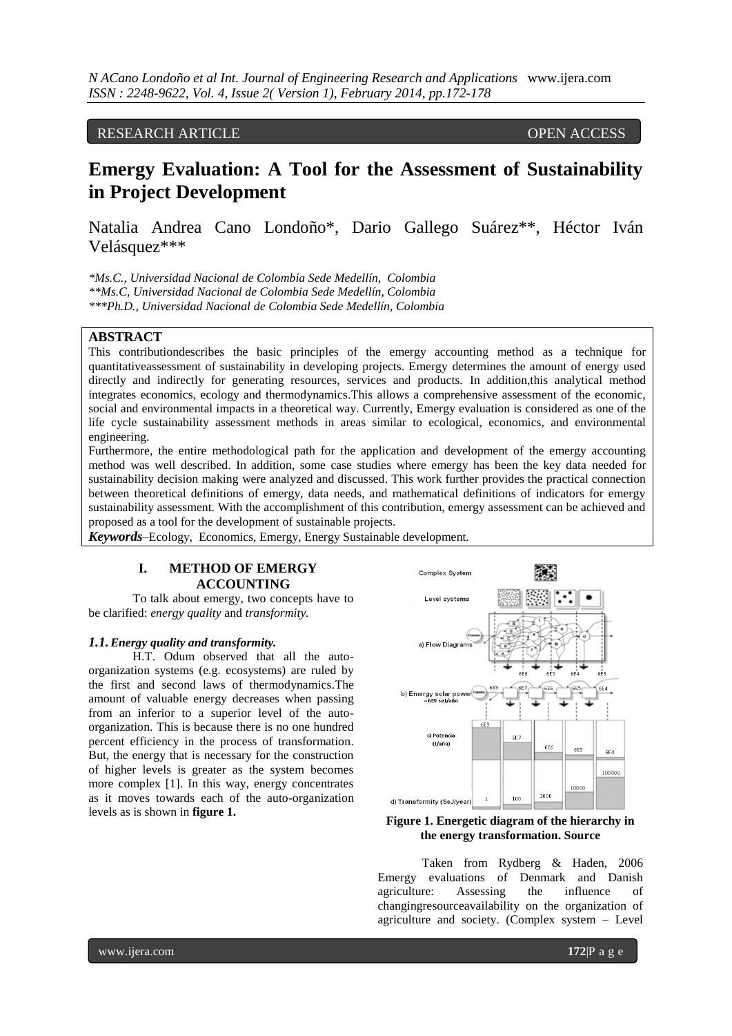## RESEARCH ARTICLE OPEN ACCESS

# **Emergy Evaluation: A Tool for the Assessment of Sustainability in Project Development**

Natalia Andrea Cano Londoño\*, Dario Gallego Suárez\*\*, Héctor Iván Velásquez\*\*\*

*\*Ms.C., Universidad Nacional de Colombia Sede Medellín, Colombia \*\*Ms.C, Universidad Nacional de Colombia Sede Medellín, Colombia \*\*\*Ph.D., Universidad Nacional de Colombia Sede Medellín, Colombia*

#### **ABSTRACT**

This contributiondescribes the basic principles of the emergy accounting method as a technique for quantitativeassessment of sustainability in developing projects. Emergy determines the amount of energy used directly and indirectly for generating resources, services and products. In addition,this analytical method integrates economics, ecology and thermodynamics.This allows a comprehensive assessment of the economic, social and environmental impacts in a theoretical way. Currently, Emergy evaluation is considered as one of the life cycle sustainability assessment methods in areas similar to ecological, economics, and environmental engineering.

Furthermore, the entire methodological path for the application and development of the emergy accounting method was well described. In addition, some case studies where emergy has been the key data needed for sustainability decision making were analyzed and discussed. This work further provides the practical connection between theoretical definitions of emergy, data needs, and mathematical definitions of indicators for emergy sustainability assessment. With the accomplishment of this contribution, emergy assessment can be achieved and proposed as a tool for the development of sustainable projects.

*Keywords*–Ecology, Economics, Emergy, Energy Sustainable development.

#### **I. METHOD OF EMERGY ACCOUNTING**

To talk about emergy, two concepts have to be clarified: *energy quality* and *transformity.*

#### *1.1.Energy quality and transformity.*

H.T. Odum observed that all the autoorganization systems (e.g. ecosystems) are ruled by the first and second laws of thermodynamics.The amount of valuable energy decreases when passing from an inferior to a superior level of the autoorganization. This is because there is no one hundred percent efficiency in the process of transformation. But, the energy that is necessary for the construction of higher levels is greater as the system becomes more complex [1]. In this way, energy concentrates as it moves towards each of the auto-organization levels as is shown in **figure 1.**



**Figure 1. Energetic diagram of the hierarchy in the energy transformation. Source**

Taken from Rydberg & Haden, 2006 Emergy evaluations of Denmark and Danish agriculture: Assessing the influence of changingresourceavailability on the organization of agriculture and society. (Complex system – Level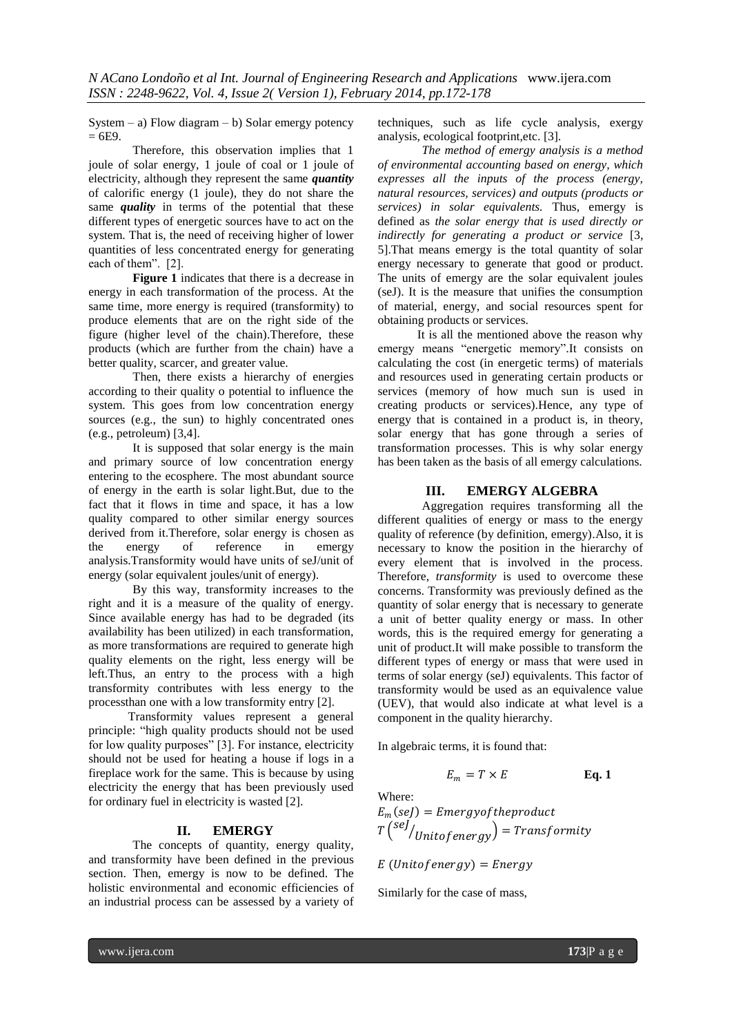System – a) Flow diagram – b) Solar emergy potency  $= 6E9.$ 

Therefore, this observation implies that 1 joule of solar energy, 1 joule of coal or 1 joule of electricity, although they represent the same *quantity* of calorific energy (1 joule), they do not share the same *quality* in terms of the potential that these different types of energetic sources have to act on the system. That is, the need of receiving higher of lower quantities of less concentrated energy for generating each of them". [2].

**Figure 1** indicates that there is a decrease in energy in each transformation of the process. At the same time, more energy is required (transformity) to produce elements that are on the right side of the figure (higher level of the chain).Therefore, these products (which are further from the chain) have a better quality, scarcer, and greater value.

Then, there exists a hierarchy of energies according to their quality o potential to influence the system. This goes from low concentration energy sources (e.g., the sun) to highly concentrated ones (e.g., petroleum) [3,4].

It is supposed that solar energy is the main and primary source of low concentration energy entering to the ecosphere. The most abundant source of energy in the earth is solar light.But, due to the fact that it flows in time and space, it has a low quality compared to other similar energy sources derived from it.Therefore, solar energy is chosen as<br>the energy of reference in emergy the energy of reference analysis.Transformity would have units of seJ/unit of energy (solar equivalent joules/unit of energy).

By this way, transformity increases to the right and it is a measure of the quality of energy. Since available energy has had to be degraded (its availability has been utilized) in each transformation, as more transformations are required to generate high quality elements on the right, less energy will be left.Thus, an entry to the process with a high transformity contributes with less energy to the processthan one with a low transformity entry [2].

Transformity values represent a general principle: "high quality products should not be used for low quality purposes" [3]. For instance, electricity should not be used for heating a house if logs in a fireplace work for the same. This is because by using electricity the energy that has been previously used for ordinary fuel in electricity is wasted [2].

## **II. EMERGY**

The concepts of quantity, energy quality, and transformity have been defined in the previous section. Then, emergy is now to be defined. The holistic environmental and economic efficiencies of an industrial process can be assessed by a variety of

techniques, such as life cycle analysis, exergy analysis, ecological footprint,etc. [3].

*The method of emergy analysis is a method of environmental accounting based on energy, which expresses all the inputs of the process (energy, natural resources, services) and outputs (products or services) in solar equivalents.* Thus, emergy is defined as *the solar energy that is used directly or indirectly for generating a product or service* [3, 5].That means emergy is the total quantity of solar energy necessary to generate that good or product. The units of emergy are the solar equivalent joules (seJ). It is the measure that unifies the consumption of material, energy, and social resources spent for obtaining products or services.

It is all the mentioned above the reason why emergy means "energetic memory".It consists on calculating the cost (in energetic terms) of materials and resources used in generating certain products or services (memory of how much sun is used in creating products or services).Hence, any type of energy that is contained in a product is, in theory, solar energy that has gone through a series of transformation processes. This is why solar energy has been taken as the basis of all emergy calculations.

### **III. EMERGY ALGEBRA**

Aggregation requires transforming all the different qualities of energy or mass to the energy quality of reference (by definition, emergy).Also, it is necessary to know the position in the hierarchy of every element that is involved in the process. Therefore, *transformity* is used to overcome these concerns. Transformity was previously defined as the quantity of solar energy that is necessary to generate a unit of better quality energy or mass. In other words, this is the required emergy for generating a unit of product.It will make possible to transform the different types of energy or mass that were used in terms of solar energy (seJ) equivalents. This factor of transformity would be used as an equivalence value (UEV), that would also indicate at what level is a component in the quality hierarchy.

In algebraic terms, it is found that:

$$
E_m = T \times E \qquad \qquad \textbf{Eq. 1}
$$

Where:  
\n
$$
E_m
$$
 (seJ) = *Emergyof the product*  
\n $T$   $\binom{seJ}{Unitof energy}$  = *Transformity*

 $E$  (Unitofenergy) = Energy

Similarly for the case of mass,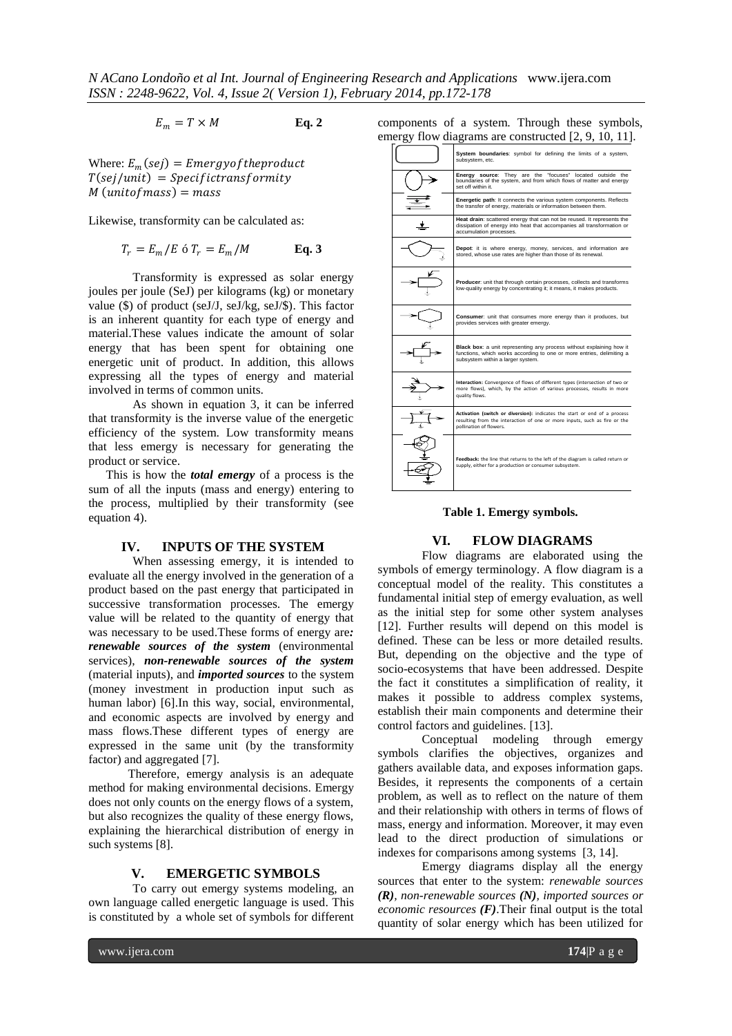$$
E_m = T \times M \qquad \qquad \textbf{Eq. 2}
$$

Where:  $E_m(sej) = \text{Energy} of the product$  $T$ (sej/unit) = Specifictransformity  $M$  (unito  $f$  mass) = mass

Likewise, transformity can be calculated as:

$$
T_r = E_m/E \text{ of } T_r = E_m/M \qquad \text{Eq. 3}
$$

Transformity is expressed as solar energy joules per joule (SeJ) per kilograms (kg) or monetary value (\$) of product (seJ/J, seJ/kg, seJ/\$). This factor is an inherent quantity for each type of energy and material.These values indicate the amount of solar energy that has been spent for obtaining one energetic unit of product. In addition, this allows expressing all the types of energy and material involved in terms of common units.

As shown in equation 3, it can be inferred that transformity is the inverse value of the energetic efficiency of the system. Low transformity means that less emergy is necessary for generating the product or service.

This is how the *total emergy* of a process is the sum of all the inputs (mass and energy) entering to the process, multiplied by their transformity (see equation 4).

#### **IV. INPUTS OF THE SYSTEM**

When assessing emergy, it is intended to evaluate all the energy involved in the generation of a product based on the past energy that participated in successive transformation processes. The emergy value will be related to the quantity of energy that was necessary to be used.These forms of energy are*: renewable sources of the system* (environmental services), *non-renewable sources of the system* (material inputs), and *imported sources* to the system (money investment in production input such as human labor) [6].In this way, social, environmental, and economic aspects are involved by energy and mass flows.These different types of energy are expressed in the same unit (by the transformity factor) and aggregated [7].

Therefore, emergy analysis is an adequate method for making environmental decisions. Emergy does not only counts on the energy flows of a system, but also recognizes the quality of these energy flows, explaining the hierarchical distribution of energy in such systems [8].

#### **V. EMERGETIC SYMBOLS**

To carry out emergy systems modeling, an own language called energetic language is used. This is constituted by a whole set of symbols for different

| components of a system. Through these symbols,       |  |  |  |
|------------------------------------------------------|--|--|--|
| emergy flow diagrams are constructed [2, 9, 10, 11]. |  |  |  |

| System boundaries: symbol for defining the limits of a system,<br>subsystem, etc.                                                                                                  |
|------------------------------------------------------------------------------------------------------------------------------------------------------------------------------------|
| Energy source: They are the "focuses" located outside the<br>boundaries of the system, and from which flows of matter and energy<br>set off within it.                             |
| <b>Energetic path:</b> It connects the various system components. Reflects<br>the transfer of energy, materials or information between them.                                       |
| Heat drain: scattered energy that can not be reused. It represents the<br>dissipation of energy into heat that accompanies all transformation or<br>accumulation processes.        |
| Depot: it is where energy, money, services, and information are<br>stored, whose use rates are higher than those of its renewal.                                                   |
| Producer: unit that through certain processes, collects and transforms<br>low-quality energy by concentrating it; it means, it makes products.                                     |
| Consumer: unit that consumes more energy than it produces, but<br>provides services with greater emergy.                                                                           |
| Black box: a unit representing any process without explaining how it<br>functions, which works according to one or more entries, delimiting a<br>subsystem within a larger system. |
| Interaction: Convergence of flows of different types (intersection of two or<br>more flows), which, by the action of various processes, results in more<br>quality flows.          |
| Activation (switch or diversion): indicates the start or end of a process<br>resulting from the interaction of one or more inputs, such as fire or the<br>pollination of flowers.  |
| Feedback: the line that returns to the left of the diagram is called return or<br>supply, either for a production or consumer subsystem.                                           |

## **Table 1. Emergy symbols.**

#### **VI. FLOW DIAGRAMS**

Flow diagrams are elaborated using the symbols of emergy terminology. A flow diagram is a conceptual model of the reality. This constitutes a fundamental initial step of emergy evaluation, as well as the initial step for some other system analyses [12]. Further results will depend on this model is defined. These can be less or more detailed results. But, depending on the objective and the type of socio-ecosystems that have been addressed. Despite the fact it constitutes a simplification of reality, it makes it possible to address complex systems, establish their main components and determine their control factors and guidelines. [13].

Conceptual modeling through emergy symbols clarifies the objectives, organizes and gathers available data, and exposes information gaps. Besides, it represents the components of a certain problem, as well as to reflect on the nature of them and their relationship with others in terms of flows of mass, energy and information. Moreover, it may even lead to the direct production of simulations or indexes for comparisons among systems [3, 14].

Emergy diagrams display all the energy sources that enter to the system: *renewable sources (R), non-renewable sources (N), imported sources or economic resources (F)*.Their final output is the total quantity of solar energy which has been utilized for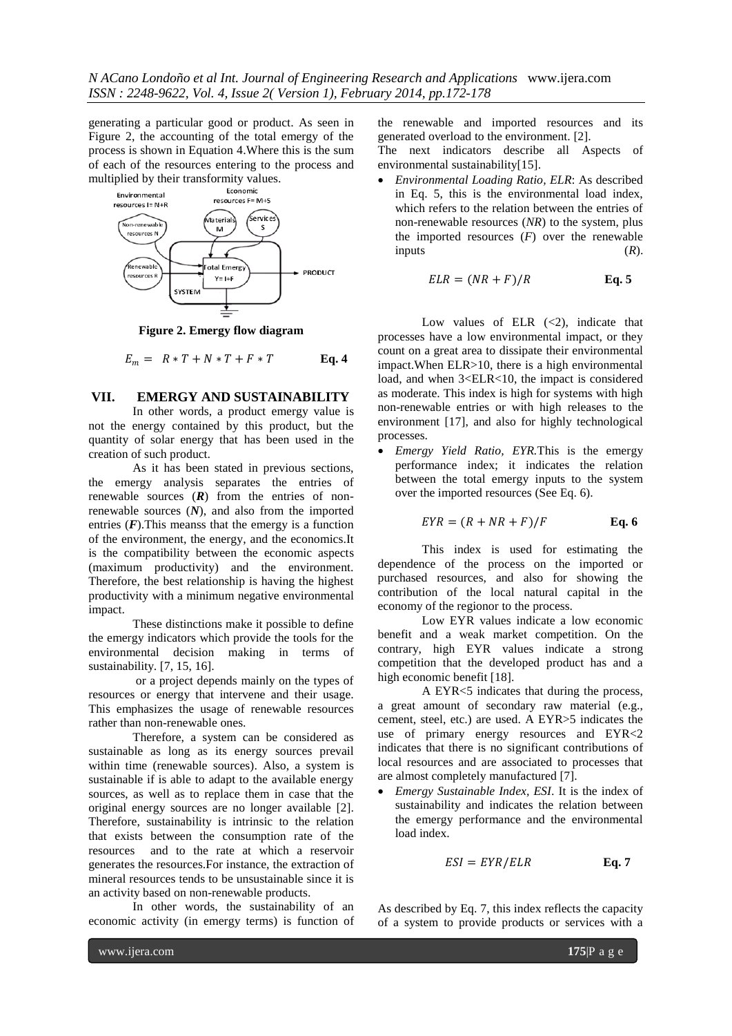generating a particular good or product. As seen in Figure 2, the accounting of the total emergy of the process is shown in Equation 4.Where this is the sum of each of the resources entering to the process and multiplied by their transformity values.



**Figure 2. Emergy flow diagram**

$$
E_m = R \cdot T + N \cdot T + F \cdot T \qquad \text{Eq. 4}
$$

#### **VII. EMERGY AND SUSTAINABILITY**

In other words, a product emergy value is not the energy contained by this product, but the quantity of solar energy that has been used in the creation of such product.

As it has been stated in previous sections, the emergy analysis separates the entries of renewable sources (*R*) from the entries of nonrenewable sources (*N*), and also from the imported entries  $(F)$ . This meanss that the emergy is a function of the environment, the energy, and the economics.It is the compatibility between the economic aspects (maximum productivity) and the environment. Therefore, the best relationship is having the highest productivity with a minimum negative environmental impact.

These distinctions make it possible to define the emergy indicators which provide the tools for the environmental decision making in terms of sustainability. [7, 15, 16].

or a project depends mainly on the types of resources or energy that intervene and their usage. This emphasizes the usage of renewable resources rather than non-renewable ones.

Therefore, a system can be considered as sustainable as long as its energy sources prevail within time (renewable sources). Also, a system is sustainable if is able to adapt to the available energy sources, as well as to replace them in case that the original energy sources are no longer available [2]. Therefore, sustainability is intrinsic to the relation that exists between the consumption rate of the resources and to the rate at which a reservoir generates the resources.For instance, the extraction of mineral resources tends to be unsustainable since it is an activity based on non-renewable products.

In other words, the sustainability of an economic activity (in emergy terms) is function of the renewable and imported resources and its generated overload to the environment. [2].

The next indicators describe all Aspects of environmental sustainability[15].

 *Environmental Loading Ratio, ELR*: As described in Eq. 5, this is the environmental load index, which refers to the relation between the entries of non-renewable resources (*NR*) to the system, plus the imported resources  $(F)$  over the renewable inputs  $(R)$ .

$$
ELR = (NR + F)/R
$$
 Eq. 5

Low values of ELR  $(\leq 2)$ , indicate that processes have a low environmental impact, or they count on a great area to dissipate their environmental impact.When ELR>10, there is a high environmental load, and when  $3 \leq ELR < 10$ , the impact is considered as moderate. This index is high for systems with high non-renewable entries or with high releases to the environment [17], and also for highly technological processes.

 *Emergy Yield Ratio, EYR.*This is the emergy performance index; it indicates the relation between the total emergy inputs to the system over the imported resources (See Eq. 6).

$$
EYR = (R + NR + F)/F
$$
 Eq. 6

This index is used for estimating the dependence of the process on the imported or purchased resources, and also for showing the contribution of the local natural capital in the economy of the regionor to the process.

Low EYR values indicate a low economic benefit and a weak market competition. On the contrary, high EYR values indicate a strong competition that the developed product has and a high economic benefit [18].

A EYR<5 indicates that during the process, a great amount of secondary raw material (e.g., cement, steel, etc.) are used. A EYR>5 indicates the use of primary energy resources and EYR<2 indicates that there is no significant contributions of local resources and are associated to processes that are almost completely manufactured [7].

 *Emergy Sustainable Index, ESI*. It is the index of sustainability and indicates the relation between the emergy performance and the environmental load index.

$$
ESI = EYR/ELR
$$
 Eq. 7

As described by Eq. 7, this index reflects the capacity of a system to provide products or services with a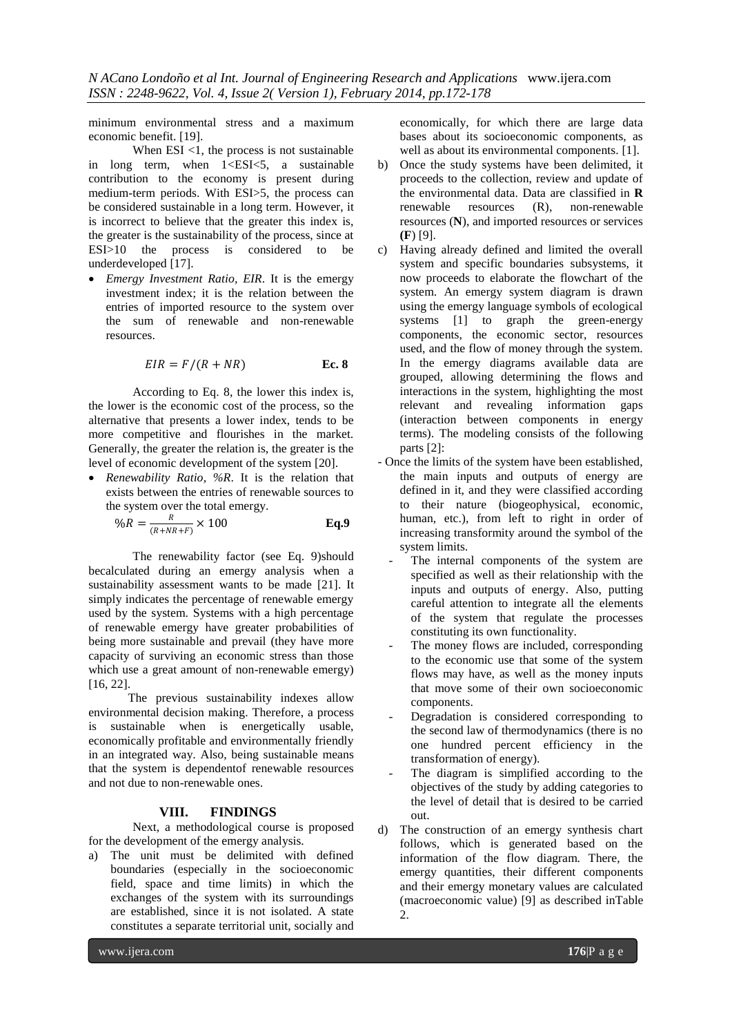minimum environmental stress and a maximum economic benefit. [19].

When ESI <1, the process is not sustainable in long term, when 1<ESI<5, a sustainable contribution to the economy is present during medium-term periods. With ESI>5, the process can be considered sustainable in a long term. However, it is incorrect to believe that the greater this index is, the greater is the sustainability of the process, since at  $ESI > 10$  the process is considered to be the process is considered to be underdeveloped [17].

 *Emergy Investment Ratio, EIR*. It is the emergy investment index; it is the relation between the entries of imported resource to the system over the sum of renewable and non-renewable resources.

$$
EIR = F/(R + NR)
$$
 \tEc. 8

According to Eq. 8, the lower this index is, the lower is the economic cost of the process, so the alternative that presents a lower index, tends to be more competitive and flourishes in the market. Generally, the greater the relation is, the greater is the level of economic development of the system [20].

 *Renewability Ratio, %R*. It is the relation that exists between the entries of renewable sources to the system over the total emergy.

$$
\%R = \frac{R}{(R + NR + F)} \times 100 \qquad \qquad \textbf{Eq.9}
$$

The renewability factor (see Eq. 9)should becalculated during an emergy analysis when a sustainability assessment wants to be made [21]. It simply indicates the percentage of renewable emergy used by the system. Systems with a high percentage of renewable emergy have greater probabilities of being more sustainable and prevail (they have more capacity of surviving an economic stress than those which use a great amount of non-renewable emergy) [16, 22].

The previous sustainability indexes allow environmental decision making. Therefore, a process is sustainable when is energetically usable, economically profitable and environmentally friendly in an integrated way. Also, being sustainable means that the system is dependentof renewable resources and not due to non-renewable ones.

#### **VIII. FINDINGS**

Next, a methodological course is proposed for the development of the emergy analysis.

a) The unit must be delimited with defined boundaries (especially in the socioeconomic field, space and time limits) in which the exchanges of the system with its surroundings are established, since it is not isolated. A state constitutes a separate territorial unit, socially and

economically, for which there are large data bases about its socioeconomic components, as well as about its environmental components. [1].

- b) Once the study systems have been delimited, it proceeds to the collection, review and update of the environmental data. Data are classified in **R**<br>renewable resources (R), non-renewable  $resources (R)$ , non-renewable resources (**N**), and imported resources or services **(F**) [9].
- c) Having already defined and limited the overall system and specific boundaries subsystems, it now proceeds to elaborate the flowchart of the system. An emergy system diagram is drawn using the emergy language symbols of ecological systems [1] to graph the green-energy components, the economic sector, resources used, and the flow of money through the system. In the emergy diagrams available data are grouped, allowing determining the flows and interactions in the system, highlighting the most relevant and revealing information gaps (interaction between components in energy terms). The modeling consists of the following parts [2]:
- Once the limits of the system have been established, the main inputs and outputs of energy are defined in it, and they were classified according to their nature (biogeophysical, economic, human, etc.), from left to right in order of increasing transformity around the symbol of the system limits.
	- The internal components of the system are specified as well as their relationship with the inputs and outputs of energy. Also, putting careful attention to integrate all the elements of the system that regulate the processes constituting its own functionality.
	- The money flows are included, corresponding to the economic use that some of the system flows may have, as well as the money inputs that move some of their own socioeconomic components.
	- Degradation is considered corresponding to the second law of thermodynamics (there is no one hundred percent efficiency in the transformation of energy).
	- The diagram is simplified according to the objectives of the study by adding categories to the level of detail that is desired to be carried out.
- d) The construction of an emergy synthesis chart follows, which is generated based on the information of the flow diagram. There, the emergy quantities, their different components and their emergy monetary values are calculated (macroeconomic value) [9] as described inTable 2.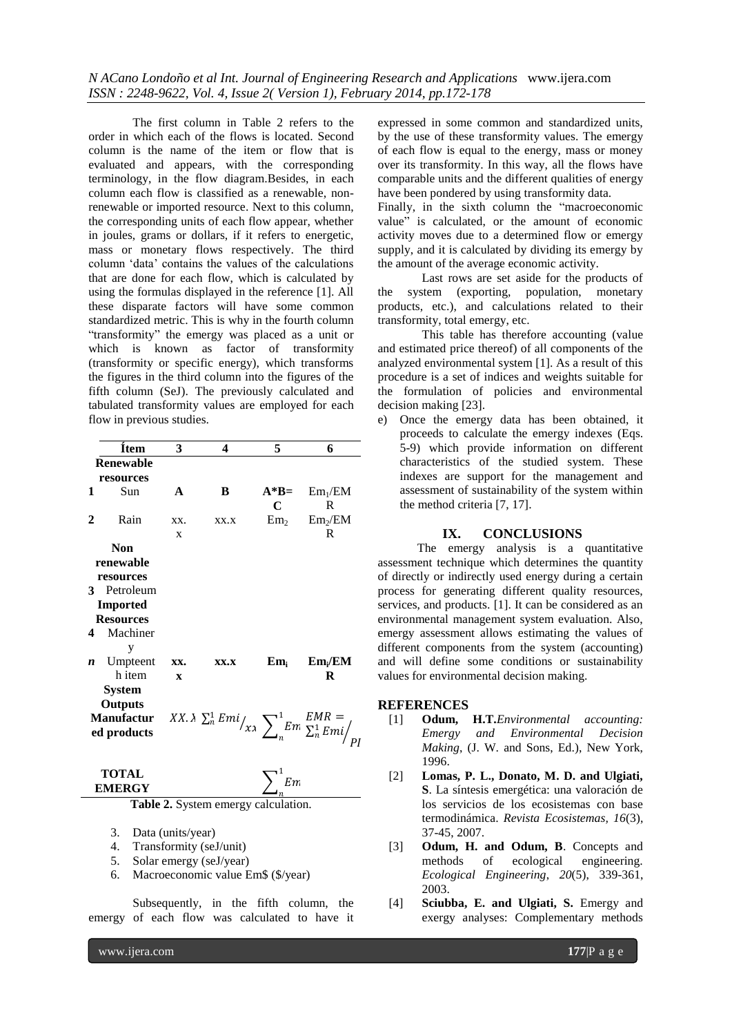The first column in Table 2 refers to the order in which each of the flows is located. Second column is the name of the item or flow that is evaluated and appears, with the corresponding terminology, in the flow diagram.Besides, in each column each flow is classified as a renewable, nonrenewable or imported resource. Next to this column, the corresponding units of each flow appear, whether in joules, grams or dollars, if it refers to energetic, mass or monetary flows respectively. The third column "data" contains the values of the calculations that are done for each flow, which is calculated by using the formulas displayed in the reference [1]. All these disparate factors will have some common standardized metric. This is why in the fourth column "transformity" the emergy was placed as a unit or which is known as factor of transformity (transformity or specific energy), which transforms the figures in the third column into the figures of the fifth column (SeJ). The previously calculated and tabulated transformity values are employed for each flow in previous studies.

|   | <b>Item</b>                                                                                  | 3            | 4    | 5                 | 6                   |
|---|----------------------------------------------------------------------------------------------|--------------|------|-------------------|---------------------|
|   | <b>Renewable</b>                                                                             |              |      |                   |                     |
|   | resources                                                                                    |              |      |                   |                     |
| 1 | Sun                                                                                          | $\mathbf{A}$ | B    | $A*B=$            | Em <sub>1</sub> /EM |
|   |                                                                                              |              |      | C                 | R                   |
| 2 | Rain                                                                                         | XX.          | XX.X | Em <sub>2</sub>   | Em <sub>2</sub> /EM |
|   |                                                                                              | X            |      |                   | R                   |
|   | <b>Non</b>                                                                                   |              |      |                   |                     |
|   | renewable                                                                                    |              |      |                   |                     |
|   | resources                                                                                    |              |      |                   |                     |
| 3 | Petroleum                                                                                    |              |      |                   |                     |
|   | Imported                                                                                     |              |      |                   |                     |
|   | <b>Resources</b>                                                                             |              |      |                   |                     |
| 4 | Machiner                                                                                     |              |      |                   |                     |
|   | у                                                                                            |              |      |                   |                     |
| n | Umpteent                                                                                     | XX.          | XX.X | $\mathbf{Em}_{i}$ | $Em_i/EM$           |
|   | h item                                                                                       | $\mathbf{x}$ |      |                   | R                   |
|   | <b>System</b>                                                                                |              |      |                   |                     |
|   | <b>Outputs</b>                                                                               |              |      |                   |                     |
|   | Manufactur $XX.\lambda \sum_{n} Emi / \lambda x \sum_{n}^1 Em \sum_{n} EMR =$<br>ed products |              |      |                   |                     |
|   |                                                                                              |              |      |                   |                     |
|   |                                                                                              |              |      |                   |                     |
|   |                                                                                              |              |      |                   |                     |

#### **TOTAL EMERGY**  $\sum_{n=1}^{\infty} E_n$ 1

 $\frac{Z_n}{\text{Table 2. System energy calculation.}}$ 

- 3. Data (units/year)
- 4. Transformity (seJ/unit)
- 5. Solar emergy (seJ/year)
- 6. Macroeconomic value Em\$ (\$/year)

Subsequently, in the fifth column, the emergy of each flow was calculated to have it

expressed in some common and standardized units, by the use of these transformity values. The emergy of each flow is equal to the energy, mass or money over its transformity. In this way, all the flows have comparable units and the different qualities of energy have been pondered by using transformity data.

Finally, in the sixth column the "macroeconomic value" is calculated, or the amount of economic activity moves due to a determined flow or emergy supply, and it is calculated by dividing its emergy by the amount of the average economic activity.

Last rows are set aside for the products of the system (exporting, population, monetary products, etc.), and calculations related to their transformity, total emergy, etc.

This table has therefore accounting (value and estimated price thereof) of all components of the analyzed environmental system [1]. As a result of this procedure is a set of indices and weights suitable for the formulation of policies and environmental decision making [23].

e) Once the emergy data has been obtained, it proceeds to calculate the emergy indexes (Eqs. 5-9) which provide information on different characteristics of the studied system. These indexes are support for the management and assessment of sustainability of the system within the method criteria [7, 17].

#### **IX. CONCLUSIONS**

The emergy analysis is a quantitative assessment technique which determines the quantity of directly or indirectly used energy during a certain process for generating different quality resources, services, and products. [1]. It can be considered as an environmental management system evaluation. Also, emergy assessment allows estimating the values of different components from the system (accounting) and will define some conditions or sustainability values for environmental decision making.

#### **REFERENCES**

- [1] **Odum, H.T.***Environmental accounting: Emergy and Environmental Decision Making*, (J. W. and Sons, Ed.), New York, 1996.
- [2] **Lomas, P. L., Donato, M. D. and Ulgiati, S**. La síntesis emergética: una valoración de los servicios de los ecosistemas con base termodinámica. *Revista Ecosistemas, 16*(3), 37-45, 2007.
- [3] **Odum, H. and Odum, B**. Concepts and methods of ecological engineering. *Ecological Engineering*, *20*(5), 339-361, 2003.
- [4] **Sciubba, E. and Ulgiati, S.** Emergy and exergy analyses: Complementary methods